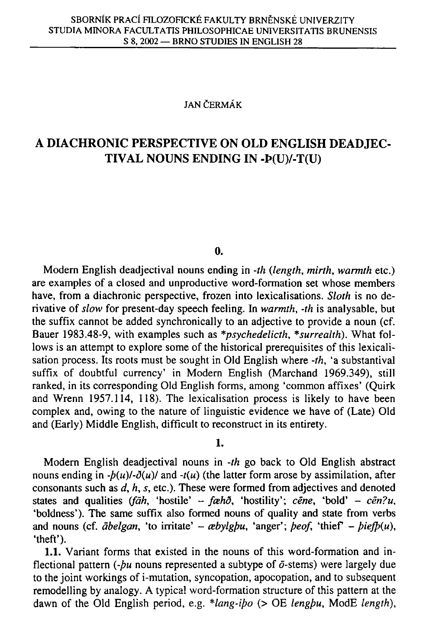#### **JAN CERMAK**

# **A DIACHRONIC PERSPECTIVE ON OL D ENGLISH DEADJEC - TIVAL NOUNS ENDING IN -P(U)/-T(U)**

#### **0.**

Modern English deadjectival nouns ending in *-th {length, mirth, warmth* etc.) are examples of a closed and unproductive word-formation set whose members have, from a diachronic perspective, frozen into lexicalisations. *Sloth* is no derivative of *slow* for present-day speech feeling. In *warmth, -th* is analysable, but the suffix cannot be added synchronically to an adjective to provide a noun (cf. Bauer 1983.48-9, with examples such as *\*psychedelicth, \*surrealth).* What follows is an attempt to explore some of the historical prerequisites of this lexicalisation process. Its roots must be sought in Old English where *-th,* 'a substantival suffix of doubtful currency' in Modern English (Marchand 1969.349), still ranked, in its corresponding Old English forms, among 'common affixes' (Quirk and Wrenn 1957.114, 118). The lexicalisation process is likely to have been complex and, owing to the nature of linguistic evidence we have of (Late) Old and (Early) Middle English, difficult to reconstruct in its entirety.

**1.** 

Modern English deadjectival nouns in *-th* go back to Old English abstract nouns ending in  $-b(u)/-\delta(u)$  and  $-t(u)$  (the latter form arose by assimilation, after consonants such as *d, h, s,* etc.). These were formed from adjectives and denoted states and qualities (fāh, 'hostile' - fæhð, 'hostility'; cēne, 'bold' - cēn?u, 'boldness'). The same suffix also formed nouns of quality and state from verbs and nouns (cf.  $\bar{a} \text{belgan}$ , 'to irritate' -  $\alpha \text{bylgbu}$ , 'anger';  $\beta \text{eo}$ f, 'thief' -  $\beta \text{ie} \text{fb}(u)$ , 'theft').

**1.1.** Variant forms that existed in the nouns of this word-formation and inflectional pattern (- $bu$  nouns represented a subtype of  $\bar{\sigma}$ -stems) were largely due to the joint workings of i-mutation, syncopation, apocopation, and to subsequent remodelling by analogy. A typical word-formation structure of this pattern at the dawn of the Old English period, e.g. \*lang-ibo (> OE lengbu, ModE length),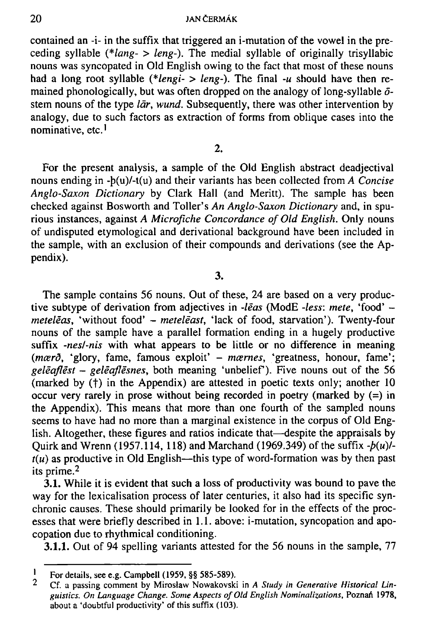contained an -i- in the suffix that triggered an i-mutation of the vowel in the preceding syllable *(\*lang- > leng-).* The medial syllable of originally trisyllabic nouns was syncopated in Old English owing to the fact that most of these nouns had a long root syllable *(\*lengi- > leng-).* The final *-u* should have then remained phonologically, but was often dropped on the analogy of long-syllable  $\delta$ stem nouns of the type *lar, wund.* Subsequently, there was other intervention by analogy, due to such factors as extraction of forms from oblique cases into the nominative, etc.'

2.

For the present analysis, a sample of the Old English abstract deadjectival nouns ending in -p(u)/-t(u) and their variants has been collected from *A Concise Anglo-Saxon Dictionary* by Clark Hall (and Meritt). The sample has been checked against Bos worth and Toller's *An Anglo-Saxon Dictionary* and, in spurious instances, against *A Microfiche Concordance of Old English.* Only nouns of undisputed etymological and derivational background have been included in the sample, with an exclusion of their compounds and derivations (see the Appendix).

3.

The sample contains 56 nouns. Out of these, 24 are based on a very productive subtype of derivation from adjectives in *-leas* (ModE *-less: mete,* 'food\* *metelēas*, 'without food' - *metelēast*, 'lack of food, starvation'). Twenty-four nouns of the sample have a parallel formation ending in a hugely productive suffix *-nesl-nis* with what appears to be little or no difference in meaning *(mærð, 'glory, fame, famous exploit' - mærnes, 'greatness, honour, fame'; geleqflest - geleajlesnes,* both meaning 'unbelief). Five nouns out of the 56 (marked by  $(t)$  in the Appendix) are attested in poetic texts only; another 10 occur very rarely in prose without being recorded in poetry (marked by (=) in the Appendix). This means that more than one fourth of the sampled nouns seems to have had no more than a marginal existence in the corpus of Old English. Altogether, these figures and ratios indicate that—despite the appraisals by Quirk and Wrenn (1957.114, 118) and Marchand (1969.349) of the suffix  $-b(u)$  $t(u)$  as productive in Old English—this type of word-formation was by then past its prime. <sup>2</sup>

3**.1.** While it is evident that such a loss of productivity was bound to pave the way for the lexicalisation process of later centuries, it also had its specific synchronic causes. These should primarily be looked for in the effects of the processes that were briefly described in 1.1. above: i-mutation, syncopation and apocopation due to rhythmical conditioning.

3**.1.1.** Out of 94 spelling variants attested for the 56 nouns in the sample, 77

I **For details, see e.g. Campbell (1959, §§ 585-589).** 

 $\overline{2}$ **Cf. a passing comment by Miroslaw Nowakovski in** *A Study in Generative Historical Lin*guistics. On Language Change. Some Aspects of Old English Nominalizations, Poznań 1978, **about a 'doubtful productivity' of this suffix (103).**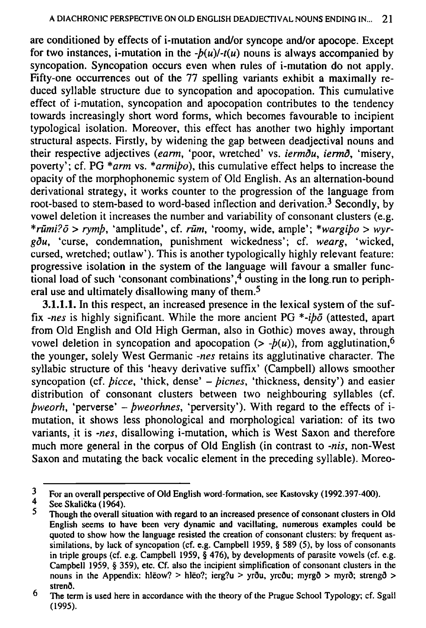are conditioned by effects of i-mutation and/or syncope and/or apocope. Except for two instances, i-mutation in the  $-b(u)/-t(u)$  nouns is always accompanied by syncopation. Syncopation occurs even when rules of i-mutation do not apply. Fifty-one occurrences out of the 77 spelling variants exhibit a maximally reduced syllable structure due to syncopation and apocopation. This cumulative effect of i-mutation, syncopation and apocopation contributes to the tendency towards increasingly short word forms, which becomes favourable to incipient typological isolation. Moreover, this effect has another two highly important structural aspects. Firstly, by widening the gap between deadjectival nouns and their respective adjectives *(earm,* 'poor, wretched' vs. *iermdu, iermd,* 'misery, poverty'; cf. PG *\*arm* vs. *\*armipo),* this cumulative effect helps to increase the opacity of the morphophonemic system of Old English. As an alternation-bound derivational strategy, it works counter to the progression of the language from root-based to stem-based to word-based inflection and derivation.<sup>3</sup> Secondly, by vowel deletion it increases the number and variability of consonant clusters (e.g. *\*rumi?d > rymp,* 'amplitude', cf. *rum,* 'roomy, wide, ample'; *\*wargipo > wyrgdu,* 'curse, condemnation, punishment wickedness'; cf. *wearg,* 'wicked, cursed, wretched; outlaw'). This is another typologically highly relevant feature: progressive isolation in the system of the language will favour a smaller functional load of such 'consonant combinations',  $\frac{4}{3}$  ousting in the long run to peripheral use and ultimately disallowing many of them.<sup>5</sup>

3**.1.1.1.** In this respect, an increased presence in the lexical system of the suffix *-nes* is highly significant. While the more ancient PG *\*-ipo* (attested, apart from Old English and Old High German, also in Gothic) moves away, through vowel deletion in syncopation and apocopation  $(> -p(u))$ , from agglutination,<sup>6</sup> the younger, solely West Germanic *-nes* retains its agglutinative character. The syllabic structure of this 'heavy derivative suffix' (Campbell) allows smoother syncopation (cf. *bicce*, 'thick, dense' - *bicnes*, 'thickness, density') and easier distribution of consonant clusters between two neighbouring syllables (cf. *pweorh,* 'perverse' - *pweorhnes,* 'perversity'). With regard to the effects of imutation, it shows less phonological and morphological variation: of its two variants, it is *-nes,* disallowing i-mutation, which is West Saxon and therefore much more general in the corpus of Old English (in contrast to *-nis,* non-West Saxon and mutating the back vocalic element in the preceding syllable). Moreo-

**i For an overall perspective of Old English word-formation, see Kastovsky (1992.397-400).** 

**<sup>4</sup> See SkaliCka (1964).** 

**<sup>5</sup> Though the overall situation with regard to an increased presence of consonant clusters in Old English seems to have been very dynamic and vacillating, numerous examples could be quoted to show how the language resisted the creation of consonant clusters: by frequent assimilations, by lack of syncopation (cf. e.g. Campbell 1959, § 589 (5), by loss of consonants in triple groups (cf. e.g. Campbell 1959, § 476), by developments of parasite vowels (cf. e.g. Campbell 1959, § 359), etc. Cf. also the incipient simplification of consonant clusters in the**  nouns in the Appendix: hleow? > hleo?; ierg?u > yrou, yrcou; myrgo > myro; strengo > **strend.** 

**<sup>6</sup> The term is used here in accordance with the theory of the Prague School Typology; cf. Sgall (1995).**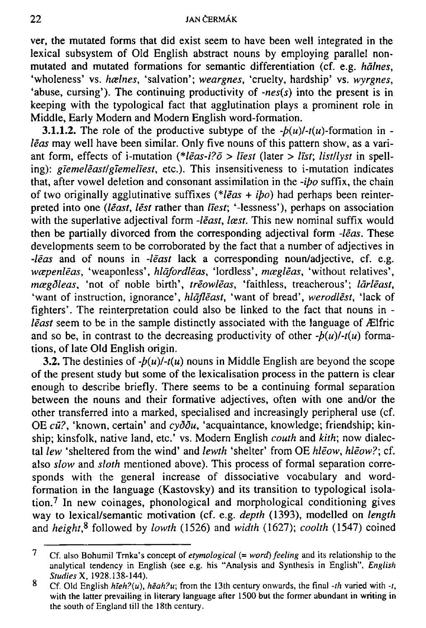ver, the mutated forms that did exist seem to have been well integrated in the lexical subsystem of Old English abstract nouns by employing parallel nonmutated and mutated formations for semantic differentiation (cf. e.g. *halnes,*  'wholeness' vs. hælnes, 'salvation'; weargnes, 'cruelty, hardship' vs. wyrgnes, 'abuse, cursing'). The continuing productivity of *-nes(s)* into the present is in keeping with the typological fact that agglutination plays a prominent role in Middle, Early Modern and Modem English word-formation.

**3.1.1.2.** The role of the productive subtype of the  $-b(u)$ - $t(u)$ -formation in *leas* may well have been similar. Only five nouns of this pattern show, as a variant form, effects of i-mutation (\**leas-i?ō > līest* (later > *līst*; *list/lyst* in spelling): *giemelēast/giemeliest*, etc.). This insensitiveness to i-mutation indicates that, after vowel deletion and consonant assimilation in the *-ipo* suffix, the chain of two originally agglutinative suffixes *(\*leas + ipo)* had perhaps been reinterpreted into one *(least, lest* rather than *liest*; '-lessness'), perhaps on association with the superlative adjectival form *-least, læst*. This new nominal suffix would then be partially divorced from the corresponding adjectival form *-leas.* These developments seem to be corroborated by the fact that a number of adjectives in *-leas* and of nouns in *-least* lack a corresponding noun/adjective, cf. e.g. *w*cepenleas, 'weaponless', *hlafordleas*, 'lordless', *moegleas*, 'without relatives', *mcegdleas,* 'not of noble birth', *treowleas,* 'faithless, treacherous'; *larleast,*  'want of instruction, ignorance', *hlāflēast*, 'want of bread', werodlēst, 'lack of fighters'. The reinterpretation could also be linked to the fact that nouns in *least* seem to be in the sample distinctly associated with the language of Ælfric and so be, in contrast to the decreasing productivity of other  $-b(u)/-t(u)$  formations, of late Old English origin.

3.2. The destinies of  $-b(u)/-t(u)$  nouns in Middle English are beyond the scope of the present study but some of the lexicalisation process in the pattern is clear enough to describe briefly. There seems to be a continuing formal separation between the nouns and their formative adjectives, often with one and/or the other transferred into a marked, specialised and increasingly peripheral use (cf. OE cū?, 'known, certain' and cyddu, 'acquaintance, knowledge; friendship; kinship; kinsfolk, native land, etc' vs. Modern English *couth* and *kith;* now dialectal *lew* 'sheltered from the wind' and *lewth* 'shelter' from OE *Meow, Meow?;* cf. also *slow* and *sloth* mentioned above). This process of formal separation corresponds with the general increase of dissociative vocabulary and wordformation in the language (Kastovsky) and its transition to typological isolation. <sup>7</sup> In new coinages, phonological and morphological conditioning gives way to lexical/semantic motivation (cf. e.g. *depth* (1393), modelled on *length*  and height,<sup>8</sup> followed by lowth (1526) and width (1627); coolth (1547) coined

 $\overline{7}$ **Cf. also Bohumil Trnka's concept of** *etymological (= word) feeling* **and its relationship to the analytical tendency in English (see e.g. his "Analysis and Synthesis in English",** *English StudiesX,* **1928.138-144).** 

<sup>8</sup> Cf. Old English  $h\bar{e}h^2(u)$ ,  $h\bar{e}ah^2u$ ; from the 13th century onwards, the final *-th* varied with *-t*, **with the latter prevailing in literary language after 1500 but the former abundant in writing in the south of England till the 18th century.**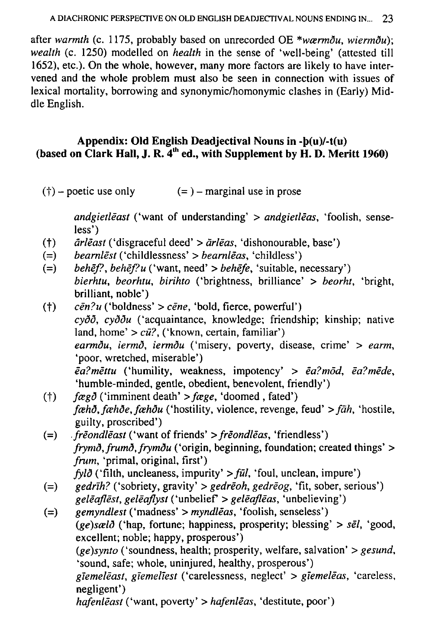after warmth (c. 1175, probably based on unrecorded OE \*wærm $\delta u$ , wierm $\delta u$ ); wealth (c. 1250) modelled on *health* in the sense of 'well-being' (attested till 1652), etc.). On the whole, however, many more factors are likely to have intervened and the whole problem must also be seen in connection with issues of lexical mortality, borrowing and synonymic/homonymic clashes in (Early) Middle English.

## Appendix: Old English Deadjectival Nouns in -b(u)/-t(u) (based on Clark Hall, J. R.  $\overline{4}^{th}$  ed., with Supplement by H. D. Meritt 1960)

 $(+)$  – poetic use only  $(=$   $)$  – marginal use in prose

> andgietleast ('want of understanding'  $>$  andgietleas, 'foolish, senseless')

- $\bar{a}$ rle $\bar{a}$ st ('disgraceful deed' >  $\bar{a}$ rle $\bar{a}$ s, 'dishonourable, base')  $(t)$
- *bearnlēst* ('childlessness' > *bearnlēas*, 'childless')  $(=)$
- behēf?, behēf?u ('want, need' > behēfe, 'suitable, necessary')  $(=)$ bierhtu, beorhtu, birihto ('brightness, brilliance' > beorht, 'bright, brilliant, noble')
- $(t)$  $c\bar{e}n$ ?u ('boldness' >  $c\bar{e}ne$ , 'bold, fierce, powerful')  $cy\delta\delta$ ,  $cy\delta\delta u$  ('acquaintance, knowledge; friendship; kinship; native land, home' >  $c\bar{u}$ ?, ('known, certain, familiar') earmõu, iermõ, iermõu ('misery, poverty, disease, crime' > earm, 'poor, wretched, miserable')  $\bar{e}a$ ?mēttu ('humility, weakness, impotency' >  $\bar{e}a$ ?mod,  $\bar{e}a$ ?mēde, 'humble-minded, gentle, obedient, benevolent, friendly')
- $f \alpha g \delta$  ('imminent death' >  $f \alpha g e$ , 'doomed, fated')  $(+)$ fæhð, fæhðe, fæhðu ('hostility, violence, revenge, feud' > fāh, 'hostile, guilty, proscribed')
- *freondleast* ('want of friends' > freondleas, 'friendless')  $(=)$ frymð, frumð, frymðu ('origin, beginning, foundation; created things' > frum, 'primal, original, first')  $fyl\delta$  ('filth, uncleaness, impurity' > fūl, 'foul, unclean, impure')
- *gedrih?* ('sobriety, gravity' > *gedreoh*, *gedreog*, 'fit, sober, serious')  $(=)$ geleaflest, geleaflyst ('unbelief'  $>$  geleafleas, 'unbelieving')
- $g$ emyndlest ('madness' > myndleas, 'foolish, senseless')  $(=)$ (ge)sælð ('hap, fortune; happiness, prosperity; blessing' > sēl, 'good, excellent; noble; happy, prosperous') (ge)synto ('soundness, health; prosperity, welfare, salvation'  $>$  gesund, 'sound, safe; whole, uninjured, healthy, prosperous') giemeleast, giemeliest ('carelessness, neglect' > giemeleas, 'careless, negligent') hafenleast ('want, poverty' > hafenleas, 'destitute, poor')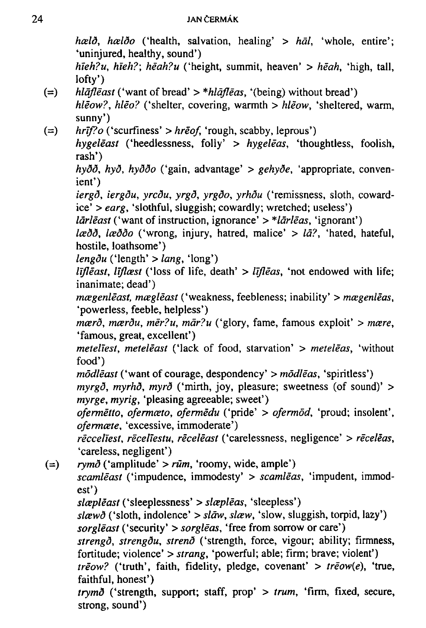*hceld, hceldo* ('health, salvation, healing' > *hal,* 'whole, entire'; 'uninjured, healthy, sound') *hieh?u, hieh?; heah?u* ('height, summit, heaven' > *heah,* 'high, tall, lofty') *(=) hlqfleast* ('want of bread' > *\*hlafleas,* '(being) without bread') *Meow?, hleo?* ('shelter, covering, warmth > *hleow,* 'sheltered, warm,

sunny')

*(=) hrif?o* ('scurfiness' > *hreof,* 'rough, scabby, leprous')

*hygeleast* ('heedlessness, folly' > *hygeleas,* 'thoughtless, foolish, rash')

*hydd, hyd, hyddo* ('gain, advantage' > *gehyde,* 'appropriate, convenient')

*iergd, iergdu, yrcdu, yrgd, yrgdo, yrhdu* ('remissness, sloth, cowardice' > *earg,* 'slothful, sluggish; cowardly; wretched; useless')

*lārlēast* ('want of instruction, ignorance' > \**lārlēas*, 'ignorant')

*Icedd, Iceddo* ('wrong, injury, hatred, malice' > *la?,* 'hated, hateful, hostile, loathsome')

*lengdu* ('length' > *lang,* 'long')

*lifleast, liflæst* ('loss of life, death' > *lifleas*, 'not endowed with life; inanimate; dead')

*mcegenleast, mcegleast* ('weakness, feebleness; inability' > *mcegenleas,*  'powerless, feeble, helpless')

*mcerd, mcerdu, mer?u, mar?u* ('glory, fame, famous exploit' > *mcere,*  'famous, great, excellent')

*meteliesl, meteleast* ('lack of food, starvation' > *meteleas,* 'without food')

*modleast* ('want of courage, despondency' > *modleas,* 'spiritless') *myrgd, myrhd, myrd* ('mirth, joy, pleasure; sweetness (of sound)' > *myrge, myrig,* 'pleasing agreeable; sweet')

*ofermetto, ofermceto, ofermedu* ('pride' > *ofermod,* 'proud; insolent', *ofermcete,* 'excessive, immoderate')

*recceliest, receliestu, receleast* ('carelessness, negligence' > *receleas,*  'careless, negligent')

*(=) rymd* ('amplitude' > *rum,* 'roomy, wide, ample') *scamleast* ('impudence, immodesty' > *scamleas,* 'impudent, immodest') *slcepleast* ('sleeplessness' > *slcepleas,* 'sleepless') *slcewd* ('sloth, indolence' > *slaw, slaw,* 'slow, sluggish, torpid, lazy') *sorgleast* ('security' > *sorgleas,* 'free from sorrow or care') *strengd, strengdu, strend* ('strength, force, vigour; ability; firmness, fortitude; violence' > *Strang,* 'powerful; able; firm; brave; violent') *treow?* ('truth', faith, fidelity, pledge, covenant' > *treow(e),* 'true, faithful, honest') *trymd* ('strength, support; staff, prop' > *trum,* 'firm, fixed, secure, strong, sound')